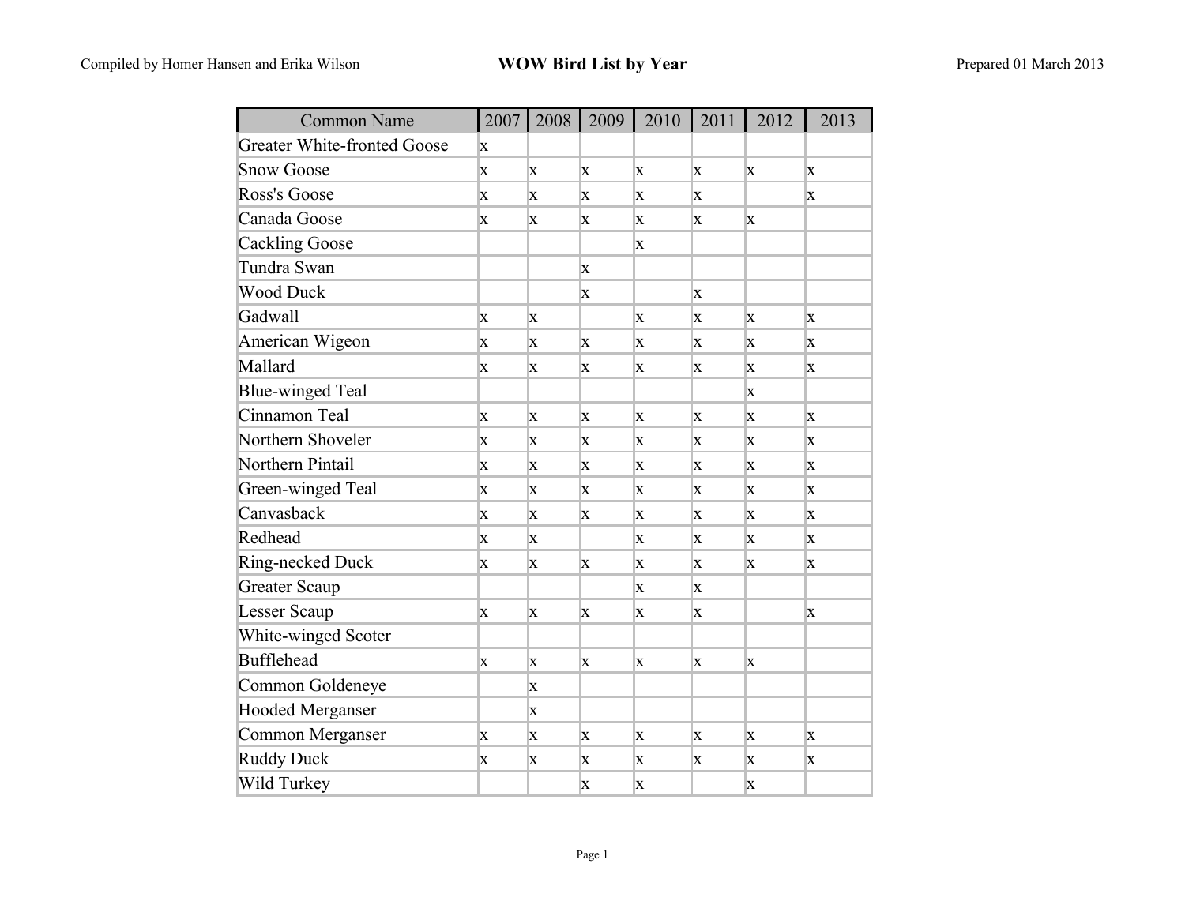| <b>Common Name</b>                 | 2007         | 2008 | 2009        | 2010        | 2011 | 2012         | 2013         |
|------------------------------------|--------------|------|-------------|-------------|------|--------------|--------------|
| <b>Greater White-fronted Goose</b> | X            |      |             |             |      |              |              |
| <b>Snow Goose</b>                  | X            | X    | X           | X           | X    | X            | X            |
| Ross's Goose                       | X            | X    | X           | $\mathbf X$ | X    |              | X            |
| Canada Goose                       | X            | X    | X           | X           | X    | X            |              |
| <b>Cackling Goose</b>              |              |      |             | X           |      |              |              |
| Tundra Swan                        |              |      | $\mathbf X$ |             |      |              |              |
| <b>Wood Duck</b>                   |              |      | X           |             | X    |              |              |
| Gadwall                            | X            | X    |             | X           | X    | X            | X            |
| American Wigeon                    | X            | X    | X           | X           | X    | X            | X            |
| Mallard                            | X            | X    | X           | X           | X    | X            | X.           |
| Blue-winged Teal                   |              |      |             |             |      | X            |              |
| Cinnamon Teal                      | $\mathbf x$  | X    | X           | $\mathbf x$ | X    | X            | $\mathbf{x}$ |
| Northern Shoveler                  | X            | X    | X           | X           | X    | $\mathbf{X}$ | $\mathbf{X}$ |
| Northern Pintail                   | X            | X    | X           | X           | X    | X            | X            |
| Green-winged Teal                  | $\mathbf{x}$ | X    | X           | X           | X    | X            | X            |
| Canvasback                         | X            | X    | X           | X           | X    | X            | X            |
| Redhead                            | X            | X    |             | X           | X    | X            | X            |
| Ring-necked Duck                   | X            | X    | X           | $\mathbf X$ | X    | X            | X            |
| <b>Greater Scaup</b>               |              |      |             | X           | X    |              |              |
| Lesser Scaup                       | X            | X    | X           | X           | X    |              | X            |
| White-winged Scoter                |              |      |             |             |      |              |              |
| <b>Bufflehead</b>                  | X            | X    | X           | X           | X    | X            |              |
| Common Goldeneye                   |              | X    |             |             |      |              |              |
| <b>Hooded Merganser</b>            |              | X    |             |             |      |              |              |
| Common Merganser                   | X            | X    | X           | X           | X    | X            | X            |
| <b>Ruddy Duck</b>                  | X            | X    | X           | X           | X    | X            | X            |
| Wild Turkey                        |              |      | X           | X           |      | X            |              |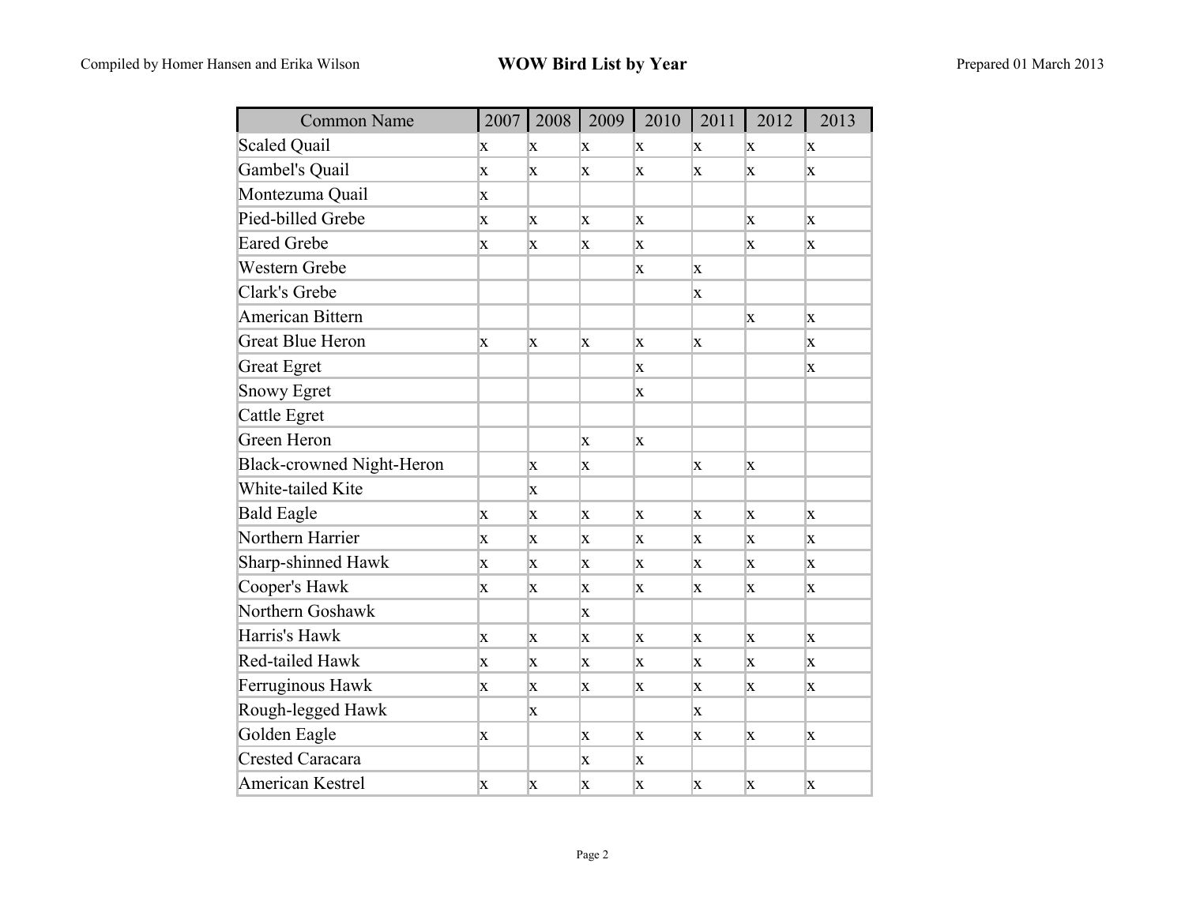| <b>Common Name</b>        |              | 2007   2008  | 2009         | 2010         | 2011        | 2012        | 2013         |
|---------------------------|--------------|--------------|--------------|--------------|-------------|-------------|--------------|
| <b>Scaled Quail</b>       | X            | X            | X            | X            | X           | X           | X            |
| Gambel's Quail            | X            | $\mathbf{x}$ | X            | X            | X           | X           | X            |
| Montezuma Quail           | $\mathbf{X}$ |              |              |              |             |             |              |
| Pied-billed Grebe         | X            | X            | X            | X            |             | X           | X            |
| <b>Eared Grebe</b>        | X            | X            | X            | X            |             | X           | X            |
| Western Grebe             |              |              |              | X            | $\mathbf x$ |             |              |
| Clark's Grebe             |              |              |              |              | X           |             |              |
| <b>American Bittern</b>   |              |              |              |              |             | X           | X            |
| <b>Great Blue Heron</b>   | $\mathbf{X}$ | $\mathbf x$  | $\mathbf x$  | $\mathbf{x}$ | $\mathbf x$ |             | $\mathbf{x}$ |
| <b>Great Egret</b>        |              |              |              | X            |             |             | X            |
| <b>Snowy Egret</b>        |              |              |              | X            |             |             |              |
| Cattle Egret              |              |              |              |              |             |             |              |
| Green Heron               |              |              | X            | X            |             |             |              |
| Black-crowned Night-Heron |              | X            | X            |              | X           | X           |              |
| White-tailed Kite         |              | X            |              |              |             |             |              |
| <b>Bald Eagle</b>         | $\mathbf{X}$ | X            | X            | $\mathbf{X}$ | X           | X           | X            |
| Northern Harrier          | X            | X.           | X            | $\mathbf{X}$ | X           | X           | X            |
| Sharp-shinned Hawk        | X            | X            | X            | X            | X           | X           | $\mathbf x$  |
| Cooper's Hawk             | X            | X            | X            | X            | X           | X           | X            |
| Northern Goshawk          |              |              | X            |              |             |             |              |
| Harris's Hawk             | X            | X            | $\mathbf x$  | X            | X           | $\mathbf x$ | $\mathbf x$  |
| Red-tailed Hawk           | X            | X            | X            | X            | X           | X           | X            |
| Ferruginous Hawk          | X            | X            | $\mathbf{X}$ | X            | X           | X           | X            |
| Rough-legged Hawk         |              | X            |              |              | X           |             |              |
| Golden Eagle              | X            |              | X            | X            | X           | X           | X            |
| Crested Caracara          |              |              | X            | $\mathbf{X}$ |             |             |              |
| American Kestrel          | X            | X            | X            | X            | X           | X           | X            |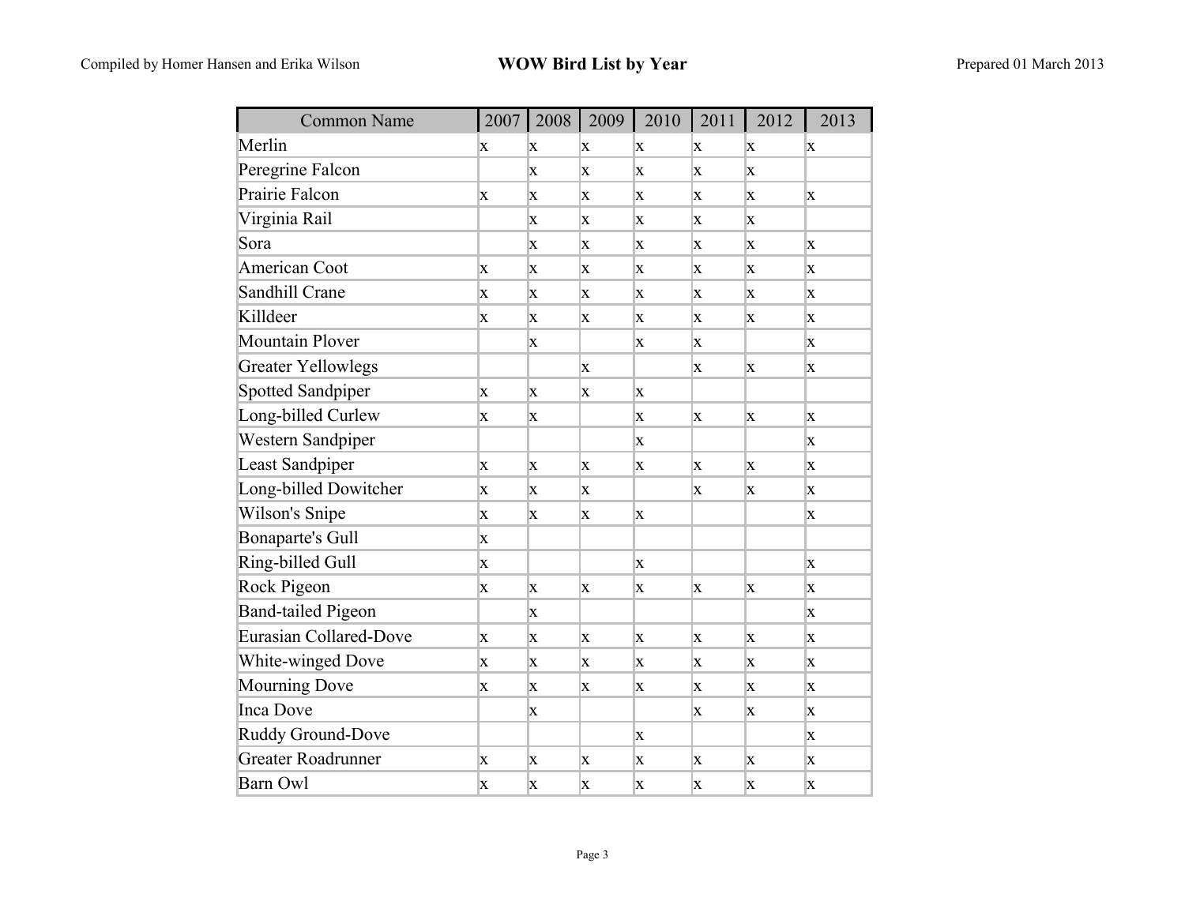| <b>Common Name</b>        | 2007 |   | 2008   2009  | 2010        | 2011 | 2012 | 2013        |
|---------------------------|------|---|--------------|-------------|------|------|-------------|
| Merlin                    | X    | X | X            | X           | X    | X    | X           |
| Peregrine Falcon          |      | X | X            | $\bf{X}$    | X    | X    |             |
| Prairie Falcon            | X    | X | X            | X           | X    | X    | X           |
| Virginia Rail             |      | X | X            | X           | X    | X    |             |
| Sora                      |      | X | X            | $\mathbf x$ | X    | X    | X           |
| American Coot             | X    | X | X            | X           | X    | X    | X           |
| Sandhill Crane            | X    | X | X            | X           | X    | X    | X           |
| Killdeer                  | X    | X | X            | X           | X    | X    | X           |
| Mountain Plover           |      | X |              | X           | X    |      | X           |
| <b>Greater Yellowlegs</b> |      |   | X            |             | X    | X    | X           |
| Spotted Sandpiper         | X    | X | X            | X           |      |      |             |
| Long-billed Curlew        | X    | X |              | $\mathbf x$ | X    | X    | X           |
| Western Sandpiper         |      |   |              | X           |      |      | X           |
| Least Sandpiper           | X    | X | X            | X           | X    | X    | X           |
| Long-billed Dowitcher     | X    | X | X            |             | X    | X    | X           |
| Wilson's Snipe            | X    | X | X            | X           |      |      | X           |
| Bonaparte's Gull          | X    |   |              |             |      |      |             |
| Ring-billed Gull          | X    |   |              | X           |      |      | X           |
| Rock Pigeon               | X    | X | X            | X           | X    | X    | X           |
| <b>Band-tailed Pigeon</b> |      | X |              |             |      |      | X           |
| Eurasian Collared-Dove    | X    | X | X            | $\mathbf X$ | X    | X    | X           |
| <b>White-winged Dove</b>  | X    | X | X            | X           | X    | X    | X           |
| Mourning Dove             | X    | X | $\mathbf{X}$ | X           | X    | X    | X           |
| Inca Dove                 |      | X |              |             | X    | X    | $\mathbf x$ |
| Ruddy Ground-Dove         |      |   |              | X           |      |      | X           |
| Greater Roadrunner        | X.   | X | X            | X           | X    | X    | X           |
| <b>Barn Owl</b>           | X    | X | X            | X           | X    | X    | X           |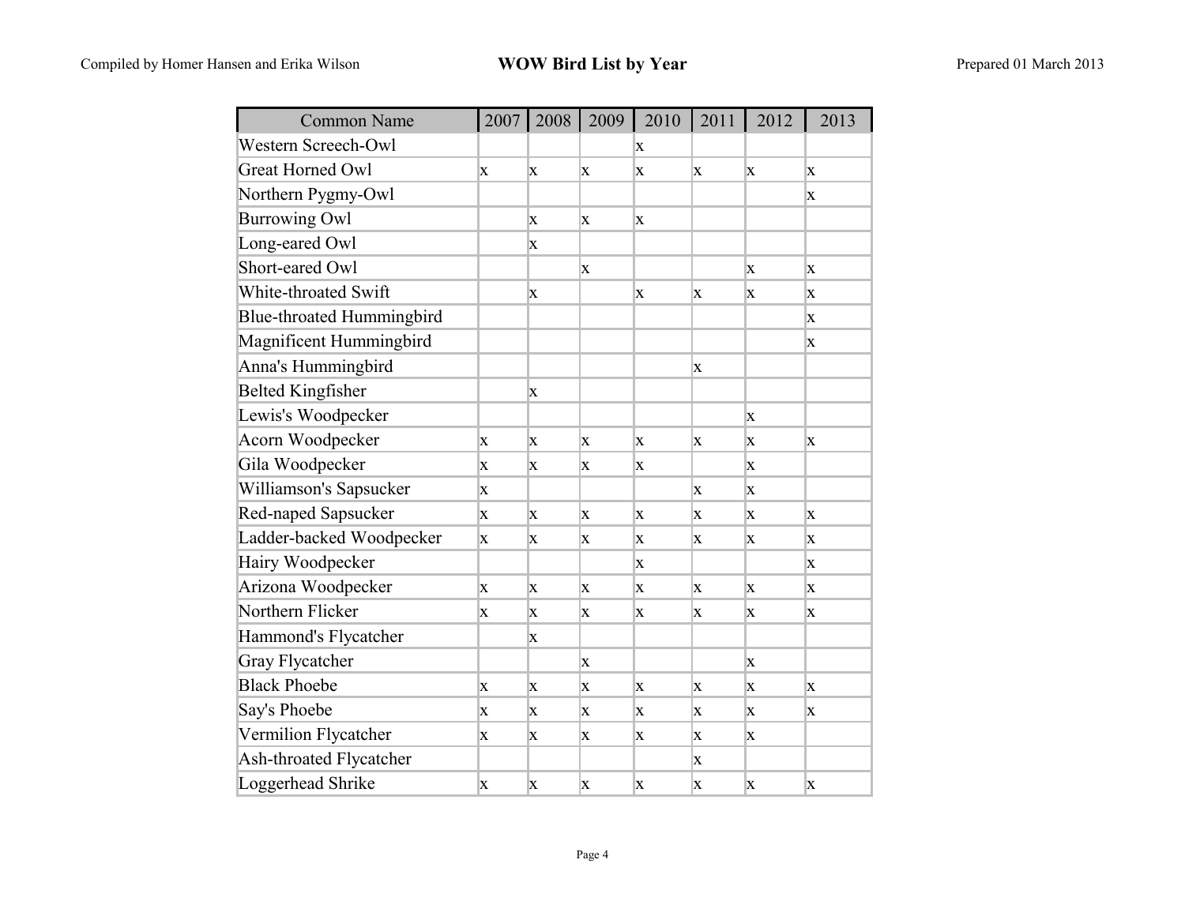| <b>Common Name</b>        |   | 2007   2008 | 2009 | 2010 | 2011 | 2012        | 2013        |
|---------------------------|---|-------------|------|------|------|-------------|-------------|
| Western Screech-Owl       |   |             |      | X    |      |             |             |
| <b>Great Horned Owl</b>   | X | X           | X    | X    | X    | X           | $\mathbf x$ |
| Northern Pygmy-Owl        |   |             |      |      |      |             | X           |
| <b>Burrowing Owl</b>      |   | X           | X    | X    |      |             |             |
| Long-eared Owl            |   | X           |      |      |      |             |             |
| Short-eared Owl           |   |             | X    |      |      | X           | X           |
| White-throated Swift      |   | X           |      | X    | X    | X           | X           |
| Blue-throated Hummingbird |   |             |      |      |      |             | X           |
| Magnificent Hummingbird   |   |             |      |      |      |             | X           |
| Anna's Hummingbird        |   |             |      |      | X    |             |             |
| <b>Belted Kingfisher</b>  |   | X           |      |      |      |             |             |
| Lewis's Woodpecker        |   |             |      |      |      | X           |             |
| Acorn Woodpecker          | X | X           | X    | X    | X    | X           | X           |
| Gila Woodpecker           | X | X           | X    | X    |      | X           |             |
| Williamson's Sapsucker    | X |             |      |      | X    | X           |             |
| Red-naped Sapsucker       | X | X           | X    | X    | X    | X           | X           |
| Ladder-backed Woodpecker  | X | X           | X    | X    | X    | X           | X           |
| Hairy Woodpecker          |   |             |      | X    |      |             | $\mathbf x$ |
| Arizona Woodpecker        | X | X           | X    | X    | X    | X           | X           |
| Northern Flicker          | X | X           | X    | X    | X    | X           | X           |
| Hammond's Flycatcher      |   | X           |      |      |      |             |             |
| <b>Gray Flycatcher</b>    |   |             | X    |      |      | X           |             |
| <b>Black Phoebe</b>       | X | X           | X    | X    | X    | X           | X           |
| Say's Phoebe              | X | X           | X    | X    | X    | X           | X           |
| Vermilion Flycatcher      | X | X           | X    | X    | X    | X           |             |
| Ash-throated Flycatcher   |   |             |      |      | X    |             |             |
| Loggerhead Shrike         | X | X           | X    | X    | X    | $\mathbf x$ | X           |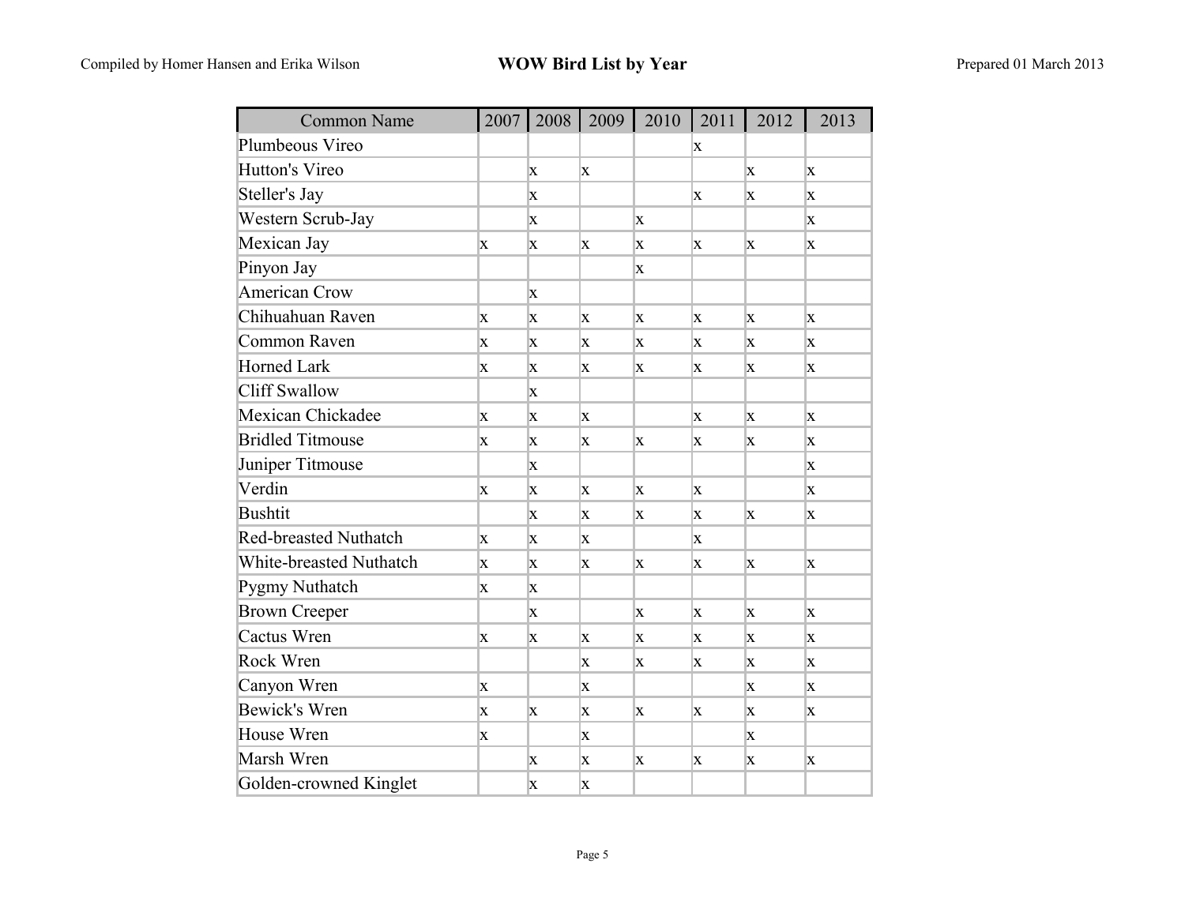| <b>Common Name</b>           | 2007         | 2008     | 2009         | 2010 | 2011        | 2012 | 2013 |
|------------------------------|--------------|----------|--------------|------|-------------|------|------|
| Plumbeous Vireo              |              |          |              |      | X           |      |      |
| Hutton's Vireo               |              | $\bf{X}$ | X            |      |             | X    | X    |
| Steller's Jay                |              | X        |              |      | X           | X    | X    |
| Western Scrub-Jay            |              | X        |              | X    |             |      | X    |
| Mexican Jay                  | X            | X        | X            | X    | X           | X    | X    |
| Pinyon Jay                   |              |          |              | X    |             |      |      |
| <b>American Crow</b>         |              | X        |              |      |             |      |      |
| Chihuahuan Raven             | X            | X        | X            | X    | X           | X    | X    |
| Common Raven                 | X            | X        | X            | X    | X           | X    | X    |
| <b>Horned Lark</b>           | X            | X        | X            | X    | X           | X    | X    |
| <b>Cliff Swallow</b>         |              | X        |              |      |             |      |      |
| Mexican Chickadee            | $\mathbf{X}$ | X        | $\mathbf{X}$ |      | $\mathbf X$ | X    | X    |
| <b>Bridled Titmouse</b>      | X            | X        | X            | X    | X           | X    | X    |
| Juniper Titmouse             |              | X        |              |      |             |      | X    |
| Verdin                       | X            | X        | X            | X    | X           |      | X    |
| <b>Bushtit</b>               |              | X        | X            | X    | X           | X    | X    |
| <b>Red-breasted Nuthatch</b> | X            | X        | X            |      | X           |      |      |
| White-breasted Nuthatch      | X            | X        | X            | X    | X           | X    | X    |
| Pygmy Nuthatch               | X            | X        |              |      |             |      |      |
| <b>Brown Creeper</b>         |              | X        |              | X    | X           | X    | X    |
| Cactus Wren                  | X            | X        | X            | X    | X           | X    | X    |
| <b>Rock Wren</b>             |              |          | X            | X    | X           | X    | X    |
| Canyon Wren                  | X            |          | X            |      |             | X    | X    |
| Bewick's Wren                | X            | X        | $\mathbf{X}$ | X    | X           | X    | X    |
| House Wren                   | X            |          | X            |      |             | X    |      |
| Marsh Wren                   |              | X        | X            | X    | X           | X    | X    |
| Golden-crowned Kinglet       |              | X        | X            |      |             |      |      |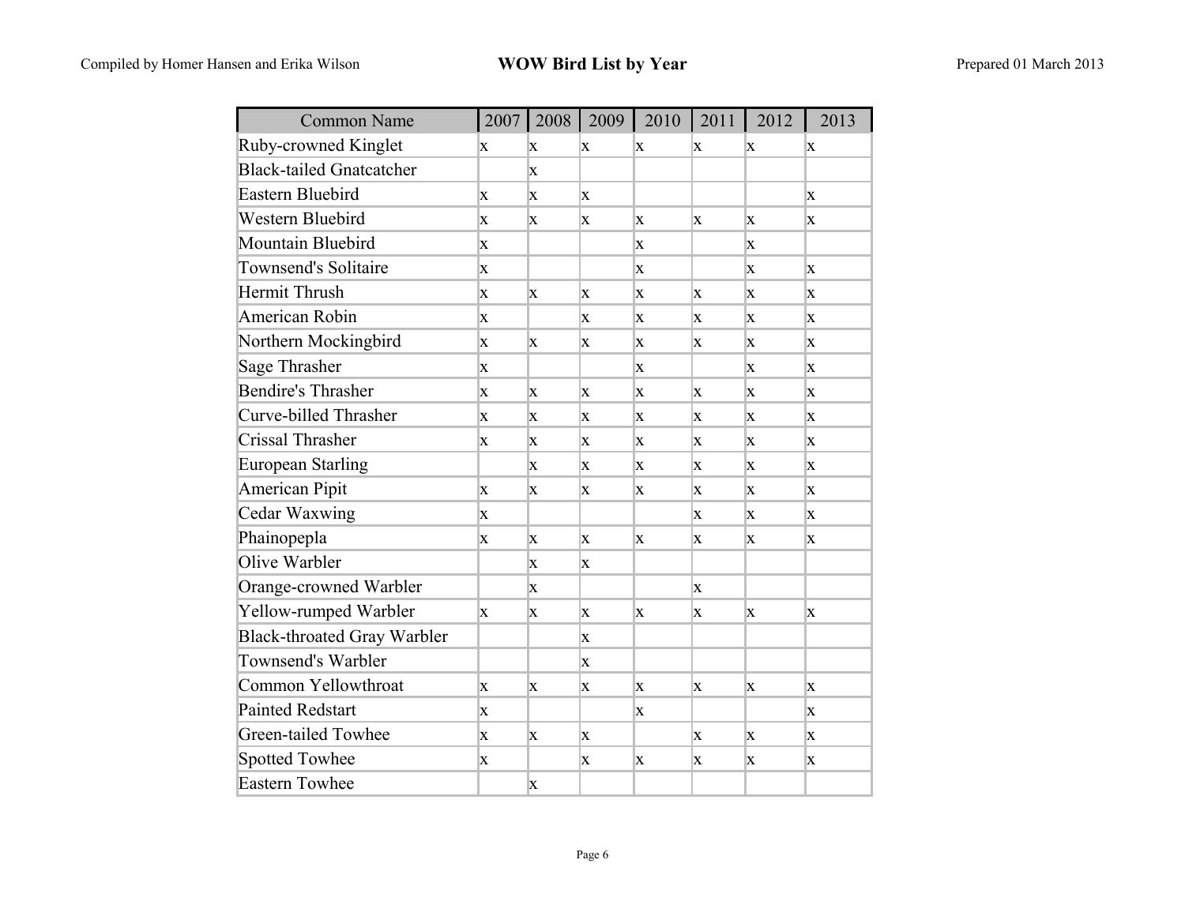| <b>Common Name</b>                 | 2007         | 2008         | 2009         | 2010         | 2011 | 2012 | 2013         |
|------------------------------------|--------------|--------------|--------------|--------------|------|------|--------------|
| Ruby-crowned Kinglet               | X            | X            | X            | X            | X    | X    | X            |
| <b>Black-tailed Gnatcatcher</b>    |              | X            |              |              |      |      |              |
| Eastern Bluebird                   | $\mathbf X$  | X            | $\mathbf{X}$ |              |      |      | X            |
| <b>Western Bluebird</b>            | X            | X            | X            | X            | X    | X    | X            |
| Mountain Bluebird                  | X            |              |              | X            |      | X    |              |
| <b>Townsend's Solitaire</b>        | $\mathbf X$  |              |              | X            |      | X    | X            |
| Hermit Thrush                      | X            | X            | X            | X            | X    | X    | X            |
| American Robin                     | X            |              | X            | X            | X    | X    | X            |
| Northern Mockingbird               | $\mathbf{X}$ | X            | X            | X            | X    | X    | X            |
| Sage Thrasher                      | X            |              |              | X            |      | X    | X            |
| <b>Bendire's Thrasher</b>          | X            | X            | X            | X            | X    | X    | X            |
| Curve-billed Thrasher              | $\mathbf{X}$ | X            | X            | X            | X    | X    | $\mathbf x$  |
| Crissal Thrasher                   | X            | $\mathbf{X}$ | $\mathbf{X}$ | $\mathbf{X}$ | X    | X    | X            |
| European Starling                  |              | X            | X            | X            | X    | X    | X            |
| American Pipit                     | $\mathbf{X}$ | X            | X            | X            | X    | X    | $\mathbf{x}$ |
| Cedar Waxwing                      | X            |              |              |              | X    | X    | X            |
| Phainopepla                        | X            | X            | X            | X            | X    | X    | X            |
| Olive Warbler                      |              | X            | X            |              |      |      |              |
| Orange-crowned Warbler             |              | $\mathbf{x}$ |              |              | X    |      |              |
| Yellow-rumped Warbler              | X            | X            | X            | X            | X    | X    | X            |
| <b>Black-throated Gray Warbler</b> |              |              | X            |              |      |      |              |
| Townsend's Warbler                 |              |              | X            |              |      |      |              |
| Common Yellowthroat                | X            | X            | X            | X            | X    | X    | X            |
| <b>Painted Redstart</b>            | X            |              |              | X            |      |      | X            |
| Green-tailed Towhee                | X            | X            | $\mathbf{X}$ |              | X    | X    | X            |
| <b>Spotted Towhee</b>              | X            |              | X            | X            | X    | X    | X            |
| <b>Eastern Towhee</b>              |              | X            |              |              |      |      |              |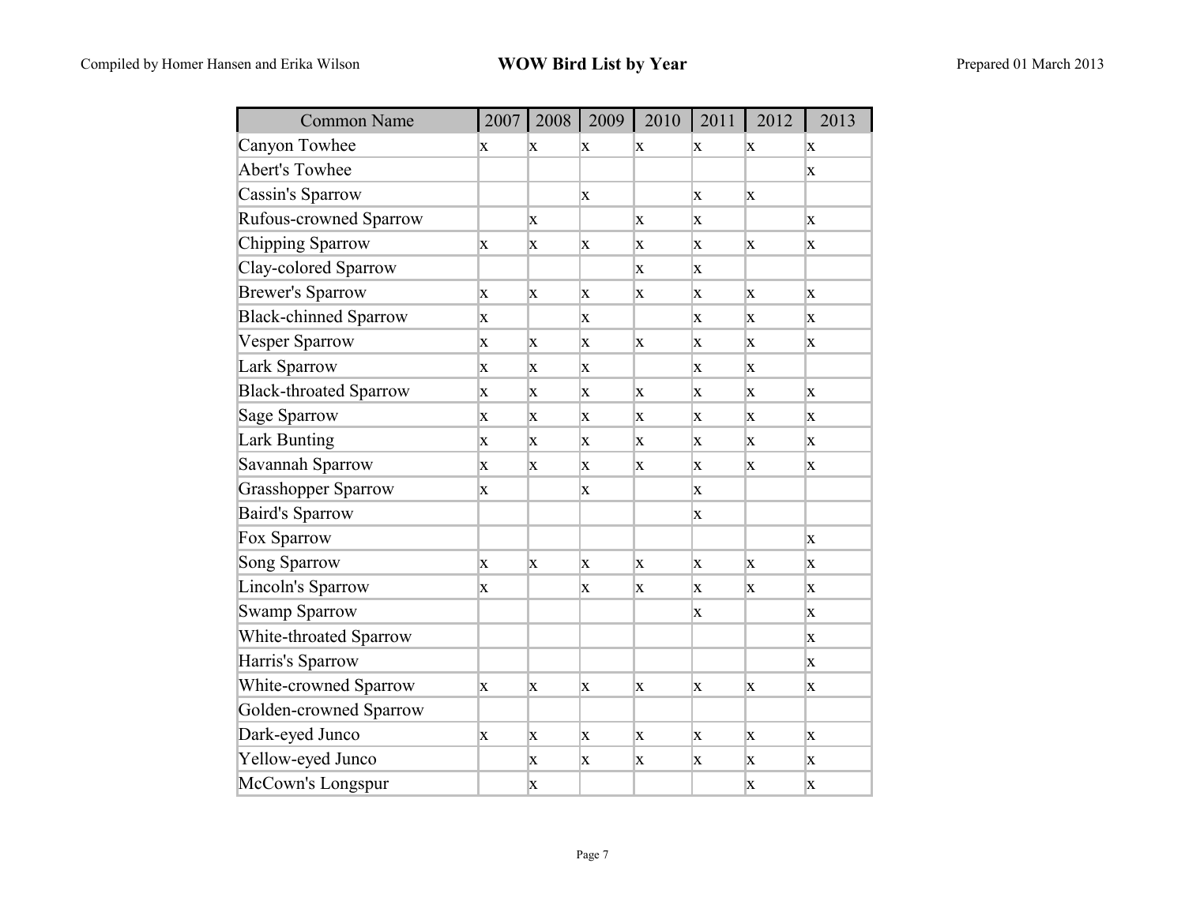| <b>Common Name</b>            | 2007        | 2008 | 2009        | 2010        | 2011        | 2012 | 2013        |
|-------------------------------|-------------|------|-------------|-------------|-------------|------|-------------|
| Canyon Towhee                 | X           | X    | X           | X           | X           | X    | X           |
| <b>Abert's Towhee</b>         |             |      |             |             |             |      | X           |
| Cassin's Sparrow              |             |      | X           |             | X           | X    |             |
| Rufous-crowned Sparrow        |             | X    |             | X           | X           |      | X           |
| Chipping Sparrow              | X           | X    | X           | X           | X           | X    | X           |
| Clay-colored Sparrow          |             |      |             | X           | X           |      |             |
| <b>Brewer's Sparrow</b>       | X           | X    | X           | X           | X           | X    | X           |
| <b>Black-chinned Sparrow</b>  | X           |      | X           |             | X           | X    | X           |
| <b>Vesper Sparrow</b>         | $\mathbf x$ | X    | X           | <b>X</b>    | $\mathbf x$ | X    | X           |
| Lark Sparrow                  | X           | X    | X           |             | X           | X    |             |
| <b>Black-throated Sparrow</b> | X           | X    | X           | X           | X           | X    | X           |
| <b>Sage Sparrow</b>           | X           | X    | X           | X           | X           | X    | X           |
| <b>Lark Bunting</b>           | X           | X    | X           | X           | X           | X    | X           |
| Savannah Sparrow              | X           | X    | X           | X           | X           | X    | X           |
| <b>Grasshopper Sparrow</b>    | X           |      | X           |             | X           |      |             |
| <b>Baird's Sparrow</b>        |             |      |             |             | X           |      |             |
| Fox Sparrow                   |             |      |             |             |             |      | X           |
| <b>Song Sparrow</b>           | $\mathbf x$ | X    | $\mathbf x$ | $\mathbf x$ | $\mathbf x$ | X    | X           |
| Lincoln's Sparrow             | X           |      | X           | X           | X           | X    | X           |
| <b>Swamp Sparrow</b>          |             |      |             |             | X           |      | X           |
| White-throated Sparrow        |             |      |             |             |             |      | $\mathbf X$ |
| Harris's Sparrow              |             |      |             |             |             |      | X           |
| White-crowned Sparrow         | X           | X    | X           | X           | X           | X    | X           |
| Golden-crowned Sparrow        |             |      |             |             |             |      |             |
| Dark-eyed Junco               | X           | X    | X           | X           | X           | X    | X           |
| Yellow-eyed Junco             |             | X    | X           | X           | X           | X    | X           |
| McCown's Longspur             |             | X    |             |             |             | X    | X           |